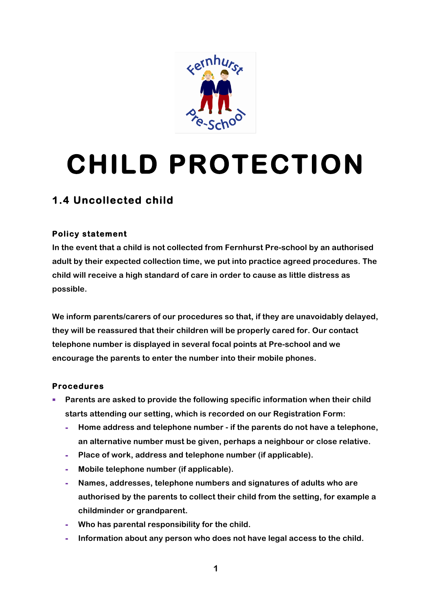

# **CHILD PROTECTION**

## **1.4 Uncollected child**

### **Policy statement**

**In the event that a child is not collected from Fernhurst Pre-school by an authorised adult by their expected collection time, we put into practice agreed procedures. The child will receive a high standard of care in order to cause as little distress as possible.**

**We inform parents/carers of our procedures so that, if they are unavoidably delayed, they will be reassured that their children will be properly cared for. Our contact telephone number is displayed in several focal points at Pre-school and we encourage the parents to enter the number into their mobile phones.**

#### **Procedures**

- § **Parents are asked to provide the following specific information when their child starts attending our setting, which is recorded on our Registration Form:**
	- **- Home address and telephone number - if the parents do not have a telephone, an alternative number must be given, perhaps a neighbour or close relative.**
	- **- Place of work, address and telephone number (if applicable).**
	- **- Mobile telephone number (if applicable).**
	- **- Names, addresses, telephone numbers and signatures of adults who are authorised by the parents to collect their child from the setting, for example a childminder or grandparent.**
	- **- Who has parental responsibility for the child.**
	- **- Information about any person who does not have legal access to the child.**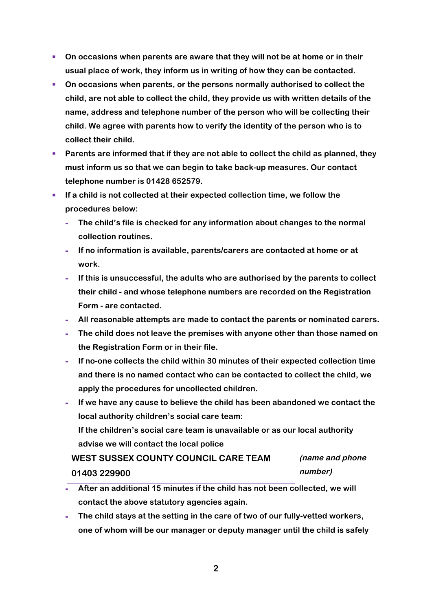- On occasions when parents are aware that they will not be at home or in their **usual place of work, they inform us in writing of how they can be contacted.**
- § **On occasions when parents, or the persons normally authorised to collect the child, are not able to collect the child, they provide us with written details of the name, address and telephone number of the person who will be collecting their child. We agree with parents how to verify the identity of the person who is to collect their child.**
- Parents are informed that if they are not able to collect the child as planned, they **must inform us so that we can begin to take back-up measures. Our contact telephone number is 01428 652579.**
- § **If a child is not collected at their expected collection time, we follow the procedures below:**
	- **- The child's file is checked for any information about changes to the normal collection routines.**
	- **- If no information is available, parents/carers are contacted at home or at work.**
	- **- If this is unsuccessful, the adults who are authorised by the parents to collect their child - and whose telephone numbers are recorded on the Registration Form - are contacted.**
	- **- All reasonable attempts are made to contact the parents or nominated carers.**
	- **- The child does not leave the premises with anyone other than those named on the Registration Form or in their file.**
	- **- If no-one collects the child within 30 minutes of their expected collection time and there is no named contact who can be contacted to collect the child, we apply the procedures for uncollected children.**
	- **- If we have any cause to believe the child has been abandoned we contact the local authority children's social care team: If the children's social care team is unavailable or as our local authority advise we will contact the local police**

#### **WEST SUSSEX COUNTY COUNCIL CARE TEAM 01403 229900 (name and phone number)**

- **- After an additional 15 minutes if the child has not been collected, we will contact the above statutory agencies again.**
- **- The child stays at the setting in the care of two of our fully-vetted workers, one of whom will be our manager or deputy manager until the child is safely**